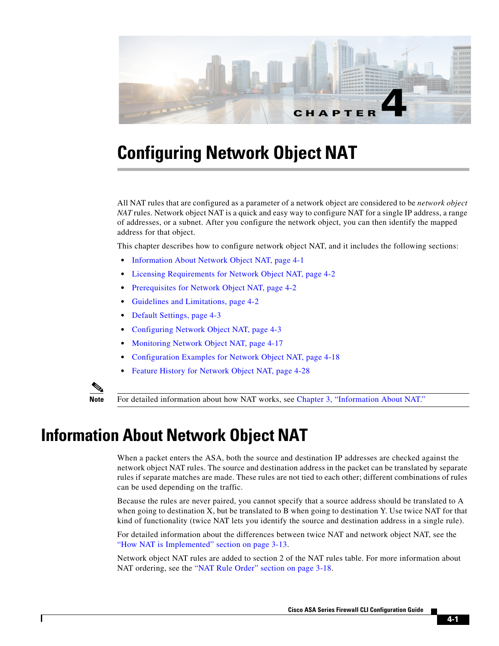

# **Configuring Network Object NAT**

All NAT rules that are configured as a parameter of a network object are considered to be *network object NAT* rules. Network object NAT is a quick and easy way to configure NAT for a single IP address, a range of addresses, or a subnet. After you configure the network object, you can then identify the mapped address for that object.

This chapter describes how to configure network object NAT, and it includes the following sections:

- **•** [Information About Network Object NAT, page 4-1](#page-0-0)
- **•** [Licensing Requirements for Network Object NAT, page 4-2](#page-1-0)
- [Prerequisites for Network Object NAT, page 4-2](#page-1-1)
- **•** [Guidelines and Limitations, page 4-2](#page-1-2)
- **•** [Default Settings, page 4-3](#page-2-0)
- **•** [Configuring Network Object NAT, page 4-3](#page-2-1)
- **•** [Monitoring Network Object NAT, page 4-17](#page-16-0)
- **•** [Configuration Examples for Network Object NAT, page 4-18](#page-17-0)
- **•** [Feature History for Network Object NAT, page 4-28](#page-27-0)



**Note** For detailed information about how NAT works, see Chapter 3, "Information About NAT."

# <span id="page-0-0"></span>**Information About Network Object NAT**

When a packet enters the ASA, both the source and destination IP addresses are checked against the network object NAT rules. The source and destination address in the packet can be translated by separate rules if separate matches are made. These rules are not tied to each other; different combinations of rules can be used depending on the traffic.

Because the rules are never paired, you cannot specify that a source address should be translated to A when going to destination X, but be translated to B when going to destination Y. Use twice NAT for that kind of functionality (twice NAT lets you identify the source and destination address in a single rule).

For detailed information about the differences between twice NAT and network object NAT, see the "How NAT is Implemented" section on page 3-13.

Network object NAT rules are added to section 2 of the NAT rules table. For more information about NAT ordering, see the "NAT Rule Order" section on page 3-18.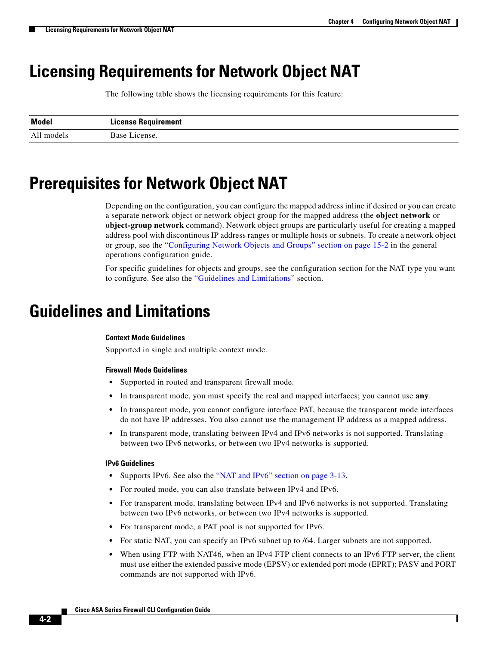Ι

# <span id="page-1-0"></span>**Licensing Requirements for Network Object NAT**

The following table shows the licensing requirements for this feature:

| <b>Model</b> | License Requirement |
|--------------|---------------------|
| All models   | 'Base License.      |

# <span id="page-1-1"></span>**Prerequisites for Network Object NAT**

Depending on the configuration, you can configure the mapped address inline if desired or you can create a separate network object or network object group for the mapped address (the **object network** or **object-group network** command). Network object groups are particularly useful for creating a mapped address pool with discontinous IP address ranges or multiple hosts or subnets. To create a network object or group, see the "Configuring Network Objects and Groups" section on page 15-2 in the general operations configuration guide.

For specific guidelines for objects and groups, see the configuration section for the NAT type you want to configure. See also the ["Guidelines and Limitations"](#page-1-2) section.

# <span id="page-1-2"></span>**Guidelines and Limitations**

#### **Context Mode Guidelines**

Supported in single and multiple context mode.

#### **Firewall Mode Guidelines**

- **•** Supported in routed and transparent firewall mode.
- **•** In transparent mode, you must specify the real and mapped interfaces; you cannot use **any**.
- **•** In transparent mode, you cannot configure interface PAT, because the transparent mode interfaces do not have IP addresses. You also cannot use the management IP address as a mapped address.
- In transparent mode, translating between IPv4 and IPv6 networks is not supported. Translating between two IPv6 networks, or between two IPv4 networks is supported.

#### **IPv6 Guidelines**

- **•** Supports IPv6. See also the "NAT and IPv6" section on page 3-13.
- **•** For routed mode, you can also translate between IPv4 and IPv6.
- For transparent mode, translating between IPv4 and IPv6 networks is not supported. Translating between two IPv6 networks, or between two IPv4 networks is supported.
- **•** For transparent mode, a PAT pool is not supported for IPv6.
- **•** For static NAT, you can specify an IPv6 subnet up to /64. Larger subnets are not supported.
- **•** When using FTP with NAT46, when an IPv4 FTP client connects to an IPv6 FTP server, the client must use either the extended passive mode (EPSV) or extended port mode (EPRT); PASV and PORT commands are not supported with IPv6.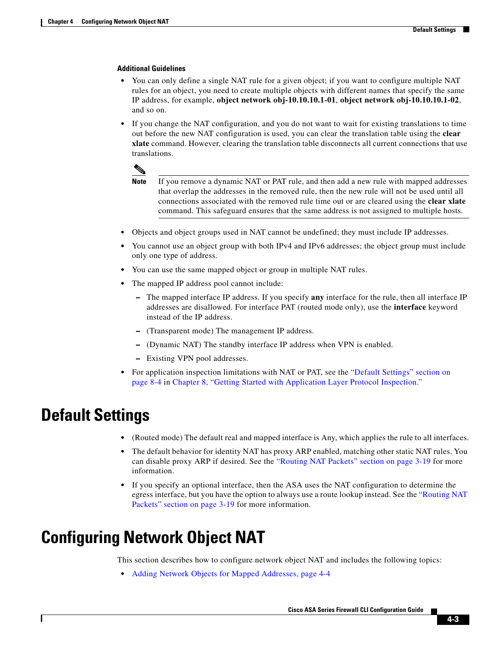#### <span id="page-2-2"></span>**Additional Guidelines**

- You can only define a single NAT rule for a given object; if you want to configure multiple NAT rules for an object, you need to create multiple objects with different names that specify the same IP address, for example, **object network obj-10.10.10.1-01**, **object network obj-10.10.10.1-02**, and so on.
- **•** If you change the NAT configuration, and you do not want to wait for existing translations to time out before the new NAT configuration is used, you can clear the translation table using the **clear xlate** command. However, clearing the translation table disconnects all current connections that use translations.



- **Note** If you remove a dynamic NAT or PAT rule, and then add a new rule with mapped addresses that overlap the addresses in the removed rule, then the new rule will not be used until all connections associated with the removed rule time out or are cleared using the **clear xlate**  command. This safeguard ensures that the same address is not assigned to multiple hosts.
- **•** Objects and object groups used in NAT cannot be undefined; they must include IP addresses.
- **•** You cannot use an object group with both IPv4 and IPv6 addresses; the object group must include only one type of address.
- **•** You can use the same mapped object or group in multiple NAT rules.
- **•** The mapped IP address pool cannot include:
	- **–** The mapped interface IP address. If you specify **any** interface for the rule, then all interface IP addresses are disallowed. For interface PAT (routed mode only), use the **interface** keyword instead of the IP address.
	- **–** (Transparent mode) The management IP address.
	- **–** (Dynamic NAT) The standby interface IP address when VPN is enabled.
	- **–** Existing VPN pool addresses.
- **•** For application inspection limitations with NAT or PAT, see the "Default Settings" section on page 8-4 in Chapter 8, "Getting Started with Application Layer Protocol Inspection."

# <span id="page-2-0"></span>**Default Settings**

- (Routed mode) The default real and mapped interface is Any, which applies the rule to all interfaces.
- **•** The default behavior for identity NAT has proxy ARP enabled, matching other static NAT rules. You can disable proxy ARP if desired. See the "Routing NAT Packets" section on page 3-19 for more information.
- **•** If you specify an optional interface, then the ASA uses the NAT configuration to determine the egress interface, but you have the option to always use a route lookup instead. See the "Routing NAT Packets" section on page 3-19 for more information.

# <span id="page-2-1"></span>**Configuring Network Object NAT**

This section describes how to configure network object NAT and includes the following topics:

**•** [Adding Network Objects for Mapped Addresses, page 4-4](#page-3-0)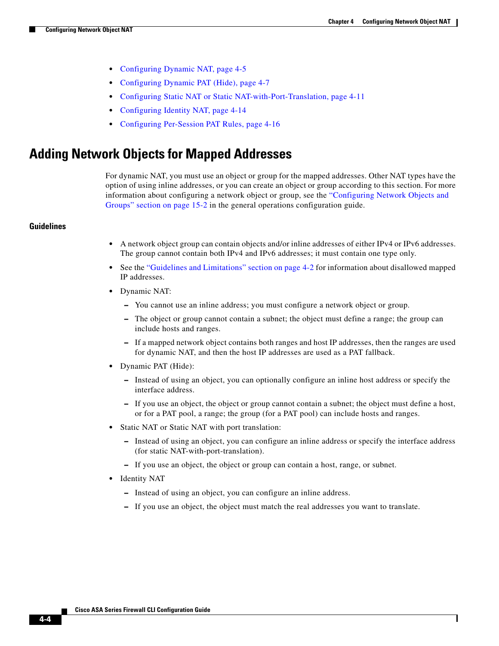Ι

- [Configuring Dynamic NAT, page 4-5](#page-4-0)
- **•** [Configuring Dynamic PAT \(Hide\), page 4-7](#page-6-0)
- **•** [Configuring Static NAT or Static NAT-with-Port-Translation, page 4-11](#page-10-0)
- **•** [Configuring Identity NAT, page 4-14](#page-13-0)
- **•** [Configuring Per-Session PAT Rules, page 4-16](#page-15-0)

## <span id="page-3-0"></span>**Adding Network Objects for Mapped Addresses**

For dynamic NAT, you must use an object or group for the mapped addresses. Other NAT types have the option of using inline addresses, or you can create an object or group according to this section. For more information about configuring a network object or group, see the "Configuring Network Objects and Groups" section on page 15-2 in the general operations configuration guide.

### **Guidelines**

- A network object group can contain objects and/or inline addresses of either IPv4 or IPv6 addresses. The group cannot contain both IPv4 and IPv6 addresses; it must contain one type only.
- See the ["Guidelines and Limitations" section on page 4-2](#page-1-2) for information about disallowed mapped IP addresses.
- **•** Dynamic NAT:
	- **–** You cannot use an inline address; you must configure a network object or group.
	- **–** The object or group cannot contain a subnet; the object must define a range; the group can include hosts and ranges.
	- **–** If a mapped network object contains both ranges and host IP addresses, then the ranges are used for dynamic NAT, and then the host IP addresses are used as a PAT fallback.
- **•** Dynamic PAT (Hide):
	- **–** Instead of using an object, you can optionally configure an inline host address or specify the interface address.
	- **–** If you use an object, the object or group cannot contain a subnet; the object must define a host, or for a PAT pool, a range; the group (for a PAT pool) can include hosts and ranges.
- **•** Static NAT or Static NAT with port translation:
	- **–** Instead of using an object, you can configure an inline address or specify the interface address (for static NAT-with-port-translation).
	- **–** If you use an object, the object or group can contain a host, range, or subnet.
- **•** Identity NAT
	- **–** Instead of using an object, you can configure an inline address.
	- **–** If you use an object, the object must match the real addresses you want to translate.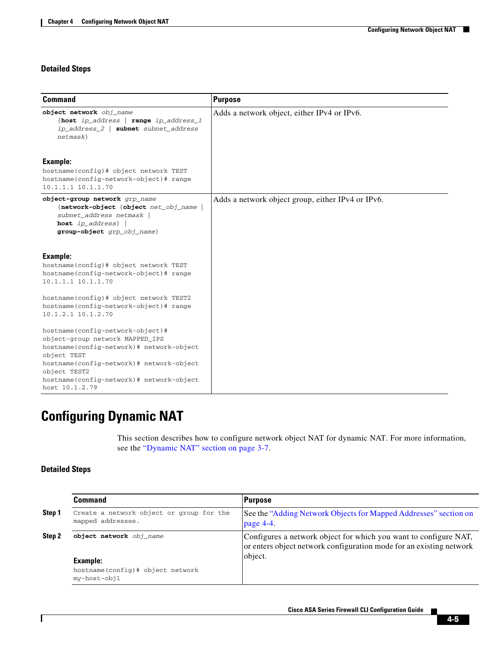### **Detailed Steps**

| <b>Command</b>                                                                                                                                                                                                                                           | <b>Purpose</b>                                    |
|----------------------------------------------------------------------------------------------------------------------------------------------------------------------------------------------------------------------------------------------------------|---------------------------------------------------|
| object network obj_name<br>{host ip_address   range ip_address_1<br>subnet subnet_address<br>$ip\_address_2$  <br>netmask                                                                                                                                | Adds a network object, either IPv4 or IPv6.       |
| Example:<br>hostname(config)# object network TEST<br>hostname(config-network-object)# range<br>$10.1.1.1$ $10.1.1.70$                                                                                                                                    |                                                   |
| object-group network grp_name<br>{network-object {object net_obj_name<br>subnet_address netmask  <br>host ip_address}<br>group-object grp_obj_name}                                                                                                      | Adds a network object group, either IPv4 or IPv6. |
| <b>Example:</b><br>hostname(config)# object network TEST<br>hostname(config-network-object)# range<br>10.1.1.1 10.1.1.70                                                                                                                                 |                                                   |
| hostname(config)# object network TEST2<br>hostname(config-network-object)# range<br>10.1.2.1 10.1.2.70                                                                                                                                                   |                                                   |
| hostname(config-network-object)#<br>object-group network MAPPED_IPS<br>hostname(config-network)# network-object<br>object TEST<br>hostname(config-network)# network-object<br>object TEST2<br>hostname(config-network)# network-object<br>host 10.1.2.79 |                                                   |

# <span id="page-4-0"></span>**Configuring Dynamic NAT**

This section describes how to configure network object NAT for dynamic NAT. For more information, see the "Dynamic NAT" section on page 3-7.

### **Detailed Steps**

 $\mathbf{I}$ 

<span id="page-4-1"></span>

|        | Command                                                       | <b>Purpose</b>                                                                                                                                     |
|--------|---------------------------------------------------------------|----------------------------------------------------------------------------------------------------------------------------------------------------|
| Step 1 | Create a network object or group for the<br>mapped addresses. | See the "Adding Network Objects for Mapped Addresses" section on<br>page $4-4$ .                                                                   |
| Step 2 | object network obj name                                       | Configures a network object for which you want to configure NAT,<br>or enters object network configuration mode for an existing network<br>object. |
|        | Example:                                                      |                                                                                                                                                    |
|        | hostname(config)# object network<br>my-host-obj1              |                                                                                                                                                    |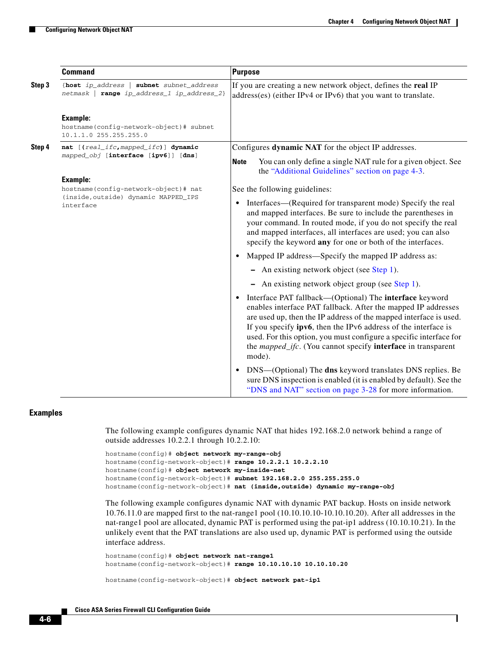ו

|        | <b>Command</b>                                                                          | <b>Purpose</b>                                                                                                                                                                                                                                                                                                                                                                                                                                             |
|--------|-----------------------------------------------------------------------------------------|------------------------------------------------------------------------------------------------------------------------------------------------------------------------------------------------------------------------------------------------------------------------------------------------------------------------------------------------------------------------------------------------------------------------------------------------------------|
| Step 3 | {host ip_address<br>subnet subnet_address<br>netmask   range ip_address_1 ip_address_2} | If you are creating a new network object, defines the real IP<br>address(es) (either IPv4 or IPv6) that you want to translate.                                                                                                                                                                                                                                                                                                                             |
|        | <b>Example:</b><br>hostname(config-network-object)# subnet<br>10.1.1.0 255.255.255.0    |                                                                                                                                                                                                                                                                                                                                                                                                                                                            |
| Step 4 | nat [(real_ifc, mapped_ifc)] dynamic<br>mapped_obj [interface [ipv6]] [dns]             | Configures dynamic NAT for the object IP addresses.                                                                                                                                                                                                                                                                                                                                                                                                        |
|        |                                                                                         | You can only define a single NAT rule for a given object. See<br><b>Note</b><br>the "Additional Guidelines" section on page 4-3.                                                                                                                                                                                                                                                                                                                           |
|        | <b>Example:</b><br>hostname(config-network-object)# nat                                 | See the following guidelines:                                                                                                                                                                                                                                                                                                                                                                                                                              |
|        | (inside, outside) dynamic MAPPED_IPS<br>interface                                       | Interfaces—(Required for transparent mode) Specify the real<br>$\bullet$<br>and mapped interfaces. Be sure to include the parentheses in<br>your command. In routed mode, if you do not specify the real<br>and mapped interfaces, all interfaces are used; you can also<br>specify the keyword any for one or both of the interfaces.                                                                                                                     |
|        |                                                                                         | Mapped IP address—Specify the mapped IP address as:<br>$\bullet$                                                                                                                                                                                                                                                                                                                                                                                           |
|        |                                                                                         | - An existing network object (see Step 1).                                                                                                                                                                                                                                                                                                                                                                                                                 |
|        |                                                                                         | - An existing network object group (see Step 1).                                                                                                                                                                                                                                                                                                                                                                                                           |
|        |                                                                                         | Interface PAT fallback—(Optional) The <b>interface</b> keyword<br>$\bullet$<br>enables interface PAT fallback. After the mapped IP addresses<br>are used up, then the IP address of the mapped interface is used.<br>If you specify <b>ipv6</b> , then the IPv6 address of the interface is<br>used. For this option, you must configure a specific interface for<br>the <i>mapped_ifc</i> . (You cannot specify <b>interface</b> in transparent<br>mode). |
|        |                                                                                         | DNS—(Optional) The dns keyword translates DNS replies. Be<br>$\bullet$<br>sure DNS inspection is enabled (it is enabled by default). See the<br>"DNS and NAT" section on page 3-28 for more information.                                                                                                                                                                                                                                                   |

### **Examples**

The following example configures dynamic NAT that hides 192.168.2.0 network behind a range of outside addresses 10.2.2.1 through 10.2.2.10:

```
hostname(config)# object network my-range-obj
hostname(config-network-object)# range 10.2.2.1 10.2.2.10
hostname(config)# object network my-inside-net
hostname(config-network-object)# subnet 192.168.2.0 255.255.255.0
hostname(config-network-object)# nat (inside,outside) dynamic my-range-obj
```
The following example configures dynamic NAT with dynamic PAT backup. Hosts on inside network 10.76.11.0 are mapped first to the nat-range1 pool (10.10.10.10-10.10.10.20). After all addresses in the nat-range1 pool are allocated, dynamic PAT is performed using the pat-ip1 address (10.10.10.21). In the unlikely event that the PAT translations are also used up, dynamic PAT is performed using the outside interface address.

```
hostname(config)# object network nat-range1
hostname(config-network-object)# range 10.10.10.10 10.10.10.20
```

```
hostname(config-network-object)# object network pat-ip1
```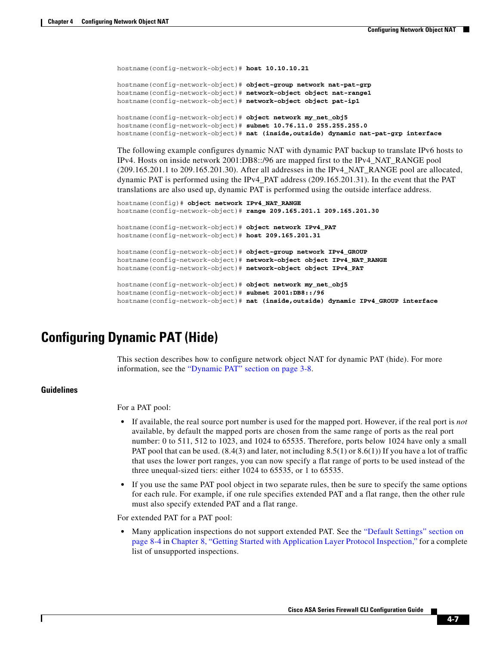```
hostname(config-network-object)# host 10.10.10.21
hostname(config-network-object)# object-group network nat-pat-grp
hostname(config-network-object)# network-object object nat-range1
hostname(config-network-object)# network-object object pat-ip1
hostname(config-network-object)# object network my_net_obj5
hostname(config-network-object)# subnet 10.76.11.0 255.255.255.0
hostname(config-network-object)# nat (inside,outside) dynamic nat-pat-grp interface
```
The following example configures dynamic NAT with dynamic PAT backup to translate IPv6 hosts to IPv4. Hosts on inside network 2001:DB8::/96 are mapped first to the IPv4\_NAT\_RANGE pool (209.165.201.1 to 209.165.201.30). After all addresses in the IPv4\_NAT\_RANGE pool are allocated, dynamic PAT is performed using the IPv4\_PAT address (209.165.201.31). In the event that the PAT translations are also used up, dynamic PAT is performed using the outside interface address.

```
hostname(config)# object network IPv4_NAT_RANGE
hostname(config-network-object)# range 209.165.201.1 209.165.201.30
hostname(config-network-object)# object network IPv4_PAT
hostname(config-network-object)# host 209.165.201.31
hostname(config-network-object)# object-group network IPv4_GROUP
hostname(config-network-object)# network-object object IPv4_NAT_RANGE
hostname(config-network-object)# network-object object IPv4_PAT
hostname(config-network-object)# object network my_net_obj5
hostname(config-network-object)# subnet 2001:DB8::/96
hostname(config-network-object)# nat (inside,outside) dynamic IPv4_GROUP interface
```
## <span id="page-6-0"></span>**Configuring Dynamic PAT (Hide)**

This section describes how to configure network object NAT for dynamic PAT (hide). For more information, see the "Dynamic PAT" section on page 3-8.

### **Guidelines**

For a PAT pool:

- **•** If available, the real source port number is used for the mapped port. However, if the real port is *not* available, by default the mapped ports are chosen from the same range of ports as the real port number: 0 to 511, 512 to 1023, and 1024 to 65535. Therefore, ports below 1024 have only a small PAT pool that can be used. (8.4(3) and later, not including 8.5(1) or 8.6(1)) If you have a lot of traffic that uses the lower port ranges, you can now specify a flat range of ports to be used instead of the three unequal-sized tiers: either 1024 to 65535, or 1 to 65535.
- **•** If you use the same PAT pool object in two separate rules, then be sure to specify the same options for each rule. For example, if one rule specifies extended PAT and a flat range, then the other rule must also specify extended PAT and a flat range.

For extended PAT for a PAT pool:

• Many application inspections do not support extended PAT. See the "Default Settings" section on page 8-4 in Chapter 8, "Getting Started with Application Layer Protocol Inspection," for a complete list of unsupported inspections.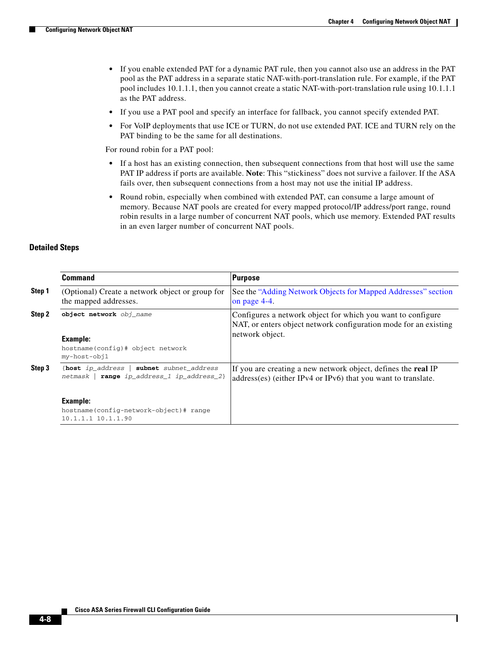ן

- **•** If you enable extended PAT for a dynamic PAT rule, then you cannot also use an address in the PAT pool as the PAT address in a separate static NAT-with-port-translation rule. For example, if the PAT pool includes 10.1.1.1, then you cannot create a static NAT-with-port-translation rule using 10.1.1.1 as the PAT address.
- **•** If you use a PAT pool and specify an interface for fallback, you cannot specify extended PAT.
- **•** For VoIP deployments that use ICE or TURN, do not use extended PAT. ICE and TURN rely on the PAT binding to be the same for all destinations.

For round robin for a PAT pool:

- If a host has an existing connection, then subsequent connections from that host will use the same PAT IP address if ports are available. **Note**: This "stickiness" does not survive a failover. If the ASA fails over, then subsequent connections from a host may not use the initial IP address.
- **•** Round robin, especially when combined with extended PAT, can consume a large amount of memory. Because NAT pools are created for every mapped protocol/IP address/port range, round robin results in a large number of concurrent NAT pools, which use memory. Extended PAT results in an even larger number of concurrent NAT pools.

### **Detailed Steps**

<span id="page-7-0"></span>

|        | <b>Command</b>                                                                                                                                                                    | <b>Purpose</b>                                                                                                                                     |
|--------|-----------------------------------------------------------------------------------------------------------------------------------------------------------------------------------|----------------------------------------------------------------------------------------------------------------------------------------------------|
| Step 1 | (Optional) Create a network object or group for<br>the mapped addresses.                                                                                                          | See the "Adding Network Objects for Mapped Addresses" section<br>on page 4-4.                                                                      |
| Step 2 | object network obj name<br><b>Example:</b><br>hostname(config)# object network<br>my-host-obj1                                                                                    | Configures a network object for which you want to configure<br>NAT, or enters object network configuration mode for an existing<br>network object. |
| Step 3 | {host ip address $ $<br>subnet subnet address<br>range ip_address_1 ip_address_2}<br>netmask  <br><b>Example:</b><br>hostname(config-network-object)# range<br>10.1.1.1 10.1.1.90 | If you are creating a new network object, defines the <b>real</b> IP<br>address(es) (either IPv4 or IPv6) that you want to translate.              |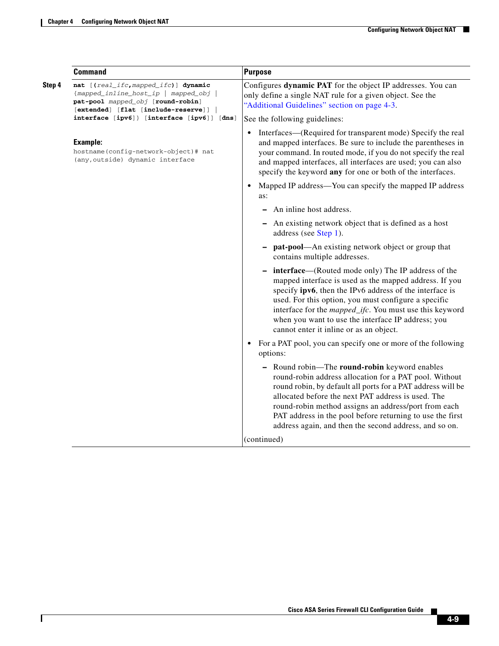$\mathbf{I}$ 

|        | <b>Command</b>                                                                                                                                           | <b>Purpose</b>                                                                                                                                                                                                                                                                                                                                                                                            |
|--------|----------------------------------------------------------------------------------------------------------------------------------------------------------|-----------------------------------------------------------------------------------------------------------------------------------------------------------------------------------------------------------------------------------------------------------------------------------------------------------------------------------------------------------------------------------------------------------|
| Step 4 | nat [(real_ifc,mapped_ifc)] dynamic<br>{mapped_inline_host_ip   mapped_obj  <br>pat-pool mapped_obj [round-robin]<br>[extended] [flat [include-reserve]] | Configures dynamic PAT for the object IP addresses. You can<br>only define a single NAT rule for a given object. See the<br>"Additional Guidelines" section on page 4-3.                                                                                                                                                                                                                                  |
|        | interface [ipv6]} [interface [ipv6]] [dns]                                                                                                               | See the following guidelines:                                                                                                                                                                                                                                                                                                                                                                             |
|        | <b>Example:</b><br>hostname(config-network-object)# nat<br>(any, outside) dynamic interface                                                              | Interfaces—(Required for transparent mode) Specify the real<br>$\bullet$<br>and mapped interfaces. Be sure to include the parentheses in<br>your command. In routed mode, if you do not specify the real<br>and mapped interfaces, all interfaces are used; you can also<br>specify the keyword any for one or both of the interfaces.                                                                    |
|        |                                                                                                                                                          | Mapped IP address—You can specify the mapped IP address<br>$\bullet$<br>as:                                                                                                                                                                                                                                                                                                                               |
|        |                                                                                                                                                          | An inline host address.                                                                                                                                                                                                                                                                                                                                                                                   |
|        |                                                                                                                                                          | An existing network object that is defined as a host<br>address (see Step 1).                                                                                                                                                                                                                                                                                                                             |
|        |                                                                                                                                                          | <b>pat-pool—An</b> existing network object or group that<br>contains multiple addresses.                                                                                                                                                                                                                                                                                                                  |
|        |                                                                                                                                                          | - interface—(Routed mode only) The IP address of the<br>mapped interface is used as the mapped address. If you<br>specify ipv6, then the IPv6 address of the interface is<br>used. For this option, you must configure a specific<br>interface for the <i>mapped_ifc</i> . You must use this keyword<br>when you want to use the interface IP address; you<br>cannot enter it inline or as an object.     |
|        |                                                                                                                                                          | For a PAT pool, you can specify one or more of the following<br>$\bullet$<br>options:                                                                                                                                                                                                                                                                                                                     |
|        |                                                                                                                                                          | Round robin-The round-robin keyword enables<br>round-robin address allocation for a PAT pool. Without<br>round robin, by default all ports for a PAT address will be<br>allocated before the next PAT address is used. The<br>round-robin method assigns an address/port from each<br>PAT address in the pool before returning to use the first<br>address again, and then the second address, and so on. |
|        |                                                                                                                                                          | (continued)                                                                                                                                                                                                                                                                                                                                                                                               |

 $\blacksquare$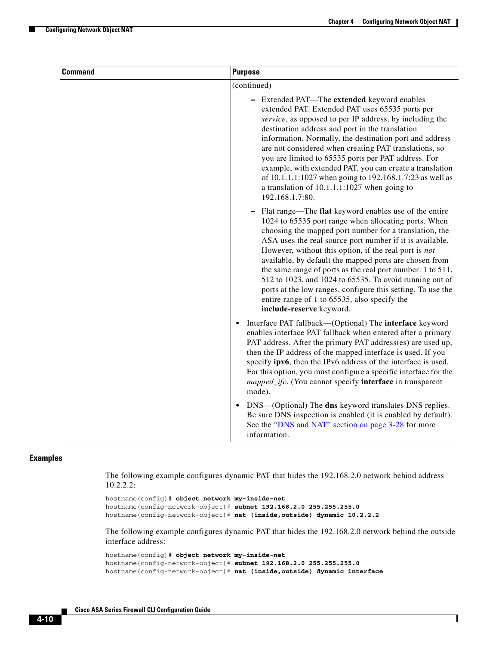ן

| <b>Command</b> | <b>Purpose</b>                                                                                                                                                                                                                                                                                                                                                                                                                                                                                                                                                                                                             |
|----------------|----------------------------------------------------------------------------------------------------------------------------------------------------------------------------------------------------------------------------------------------------------------------------------------------------------------------------------------------------------------------------------------------------------------------------------------------------------------------------------------------------------------------------------------------------------------------------------------------------------------------------|
|                | (continued)                                                                                                                                                                                                                                                                                                                                                                                                                                                                                                                                                                                                                |
|                | - Extended PAT-The extended keyword enables<br>extended PAT. Extended PAT uses 65535 ports per<br>service, as opposed to per IP address, by including the<br>destination address and port in the translation<br>information. Normally, the destination port and address<br>are not considered when creating PAT translations, so<br>you are limited to 65535 ports per PAT address. For<br>example, with extended PAT, you can create a translation<br>of 10.1.1.1:1027 when going to 192.168.1.7:23 as well as<br>a translation of $10.1.1.1:1027$ when going to<br>192.168.1.7:80.                                       |
|                | Flat range—The flat keyword enables use of the entire<br>1024 to 65535 port range when allocating ports. When<br>choosing the mapped port number for a translation, the<br>ASA uses the real source port number if it is available.<br>However, without this option, if the real port is not<br>available, by default the mapped ports are chosen from<br>the same range of ports as the real port number: 1 to 511,<br>512 to 1023, and 1024 to 65535. To avoid running out of<br>ports at the low ranges, configure this setting. To use the<br>entire range of 1 to 65535, also specify the<br>include-reserve keyword. |
|                | Interface PAT fallback—(Optional) The interface keyword<br>$\bullet$<br>enables interface PAT fallback when entered after a primary<br>PAT address. After the primary PAT address(es) are used up,<br>then the IP address of the mapped interface is used. If you<br>specify <b>ipv6</b> , then the IPv6 address of the interface is used.<br>For this option, you must configure a specific interface for the<br>mapped_ifc. (You cannot specify interface in transparent<br>mode).                                                                                                                                       |
|                | DNS-(Optional) The dns keyword translates DNS replies.<br>Be sure DNS inspection is enabled (it is enabled by default).<br>See the "DNS and NAT" section on page 3-28 for more<br>information.                                                                                                                                                                                                                                                                                                                                                                                                                             |

### **Examples**

The following example configures dynamic PAT that hides the 192.168.2.0 network behind address 10.2.2.2:

```
hostname(config)# object network my-inside-net
hostname(config-network-object)# subnet 192.168.2.0 255.255.255.0
hostname(config-network-object)# nat (inside,outside) dynamic 10.2.2.2
```
The following example configures dynamic PAT that hides the 192.168.2.0 network behind the outside interface address:

```
hostname(config)# object network my-inside-net
hostname(config-network-object)# subnet 192.168.2.0 255.255.255.0
hostname(config-network-object)# nat (inside,outside) dynamic interface
```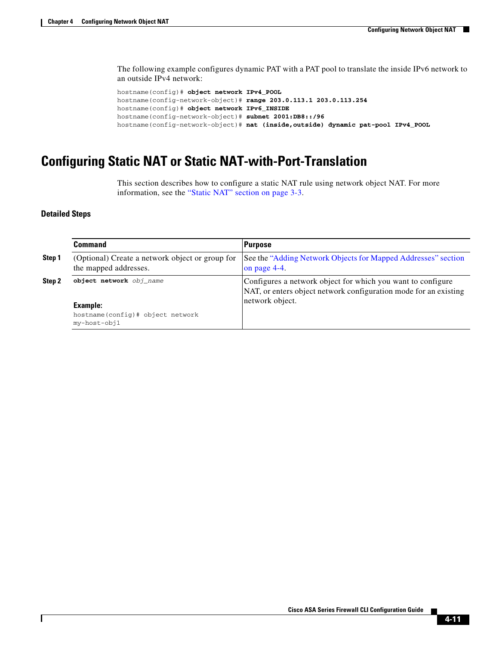The following example configures dynamic PAT with a PAT pool to translate the inside IPv6 network to an outside IPv4 network:

```
hostname(config)# object network IPv4_POOL
hostname(config-network-object)# range 203.0.113.1 203.0.113.254
hostname(config)# object network IPv6_INSIDE
hostname(config-network-object)# subnet 2001:DB8::/96
hostname(config-network-object)# nat (inside,outside) dynamic pat-pool IPv4_POOL
```
## <span id="page-10-0"></span>**Configuring Static NAT or Static NAT-with-Port-Translation**

This section describes how to configure a static NAT rule using network object NAT. For more information, see the "Static NAT" section on page 3-3.

### **Detailed Steps**

 $\Gamma$ 

<span id="page-10-1"></span>

|        | Command                                                                  | <b>Purpose</b>                                                                                                                                     |
|--------|--------------------------------------------------------------------------|----------------------------------------------------------------------------------------------------------------------------------------------------|
| Step 1 | (Optional) Create a network object or group for<br>the mapped addresses. | See the "Adding Network Objects for Mapped Addresses" section<br>on page 4-4.                                                                      |
| Step 2 | object network obj_name                                                  | Configures a network object for which you want to configure<br>NAT, or enters object network configuration mode for an existing<br>network object. |
|        | Example:                                                                 |                                                                                                                                                    |
|        | hostname(config)# object network<br>my-host-obj1                         |                                                                                                                                                    |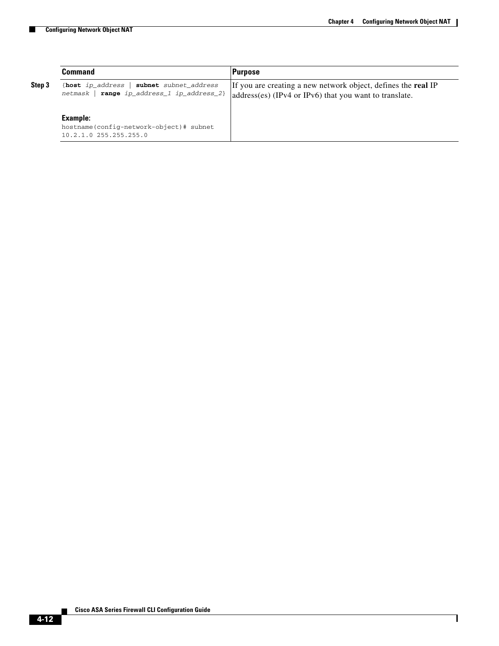H

 $\mathsf I$ 

|        | Command                                                                                                | <b>Purpose</b>                                                                                                                 |
|--------|--------------------------------------------------------------------------------------------------------|--------------------------------------------------------------------------------------------------------------------------------|
| Step 3 | { $host$ ip_address   subnet subnet_address<br>$netmask$   $range$ $ip\_address\_1$ $ip\_address\_2$ } | If you are creating a new network object, defines the <b>real</b> IP<br>address(es) (IPv4 or IPv6) that you want to translate. |
|        | Example:                                                                                               |                                                                                                                                |
|        | hostname(config-network-object)# subnet<br>10.2.1.0 255.255.255.0                                      |                                                                                                                                |

П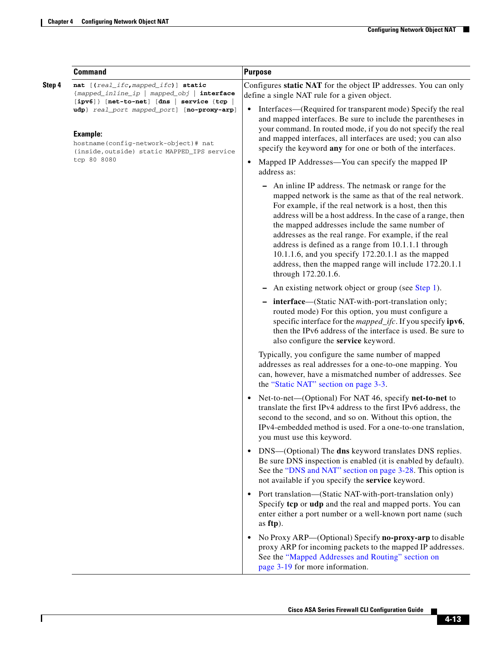$\mathbf{I}$ 

|        | <b>Command</b>                                                                                                                                                                                                                                                                                                | <b>Purpose</b>                                                                                                                                                                                                                                                                                                                                                                                                                                                                                                                                   |
|--------|---------------------------------------------------------------------------------------------------------------------------------------------------------------------------------------------------------------------------------------------------------------------------------------------------------------|--------------------------------------------------------------------------------------------------------------------------------------------------------------------------------------------------------------------------------------------------------------------------------------------------------------------------------------------------------------------------------------------------------------------------------------------------------------------------------------------------------------------------------------------------|
| Step 4 | nat [(real_ifc, mapped_ifc)] static<br>{mapped_inline_ip   mapped_obj   interface<br>$[ipv6]$ [net-to-net] [dns<br>$s$ ervice {tcp $ $<br>udp} real_port mapped_port] [no-proxy-arp]<br><b>Example:</b><br>hostname(config-network-object)# nat<br>(inside, outside) static MAPPED_IPS service<br>tcp 80 8080 | Configures static NAT for the object IP addresses. You can only<br>define a single NAT rule for a given object.<br>Interfaces—(Required for transparent mode) Specify the real<br>٠<br>and mapped interfaces. Be sure to include the parentheses in<br>your command. In routed mode, if you do not specify the real<br>and mapped interfaces, all interfaces are used; you can also<br>specify the keyword any for one or both of the interfaces.                                                                                                |
|        |                                                                                                                                                                                                                                                                                                               | Mapped IP Addresses—You can specify the mapped IP<br>$\bullet$<br>address as:                                                                                                                                                                                                                                                                                                                                                                                                                                                                    |
|        |                                                                                                                                                                                                                                                                                                               | An inline IP address. The netmask or range for the<br>mapped network is the same as that of the real network.<br>For example, if the real network is a host, then this<br>address will be a host address. In the case of a range, then<br>the mapped addresses include the same number of<br>addresses as the real range. For example, if the real<br>address is defined as a range from 10.1.1.1 through<br>10.1.1.6, and you specify 172.20.1.1 as the mapped<br>address, then the mapped range will include 172.20.1.1<br>through 172.20.1.6. |
|        |                                                                                                                                                                                                                                                                                                               | An existing network object or group (see Step 1).                                                                                                                                                                                                                                                                                                                                                                                                                                                                                                |
|        |                                                                                                                                                                                                                                                                                                               | - interface-(Static NAT-with-port-translation only;<br>routed mode) For this option, you must configure a<br>specific interface for the <i>mapped_ifc</i> . If you specify <b>ipv6</b> ,<br>then the IPv6 address of the interface is used. Be sure to<br>also configure the service keyword.                                                                                                                                                                                                                                                    |
|        |                                                                                                                                                                                                                                                                                                               | Typically, you configure the same number of mapped<br>addresses as real addresses for a one-to-one mapping. You<br>can, however, have a mismatched number of addresses. See<br>the "Static NAT" section on page 3-3.                                                                                                                                                                                                                                                                                                                             |
|        |                                                                                                                                                                                                                                                                                                               | Net-to-net—(Optional) For NAT 46, specify <b>net-to-net</b> to<br>$\bullet$<br>translate the first IPv4 address to the first IPv6 address, the<br>second to the second, and so on. Without this option, the<br>IPv4-embedded method is used. For a one-to-one translation,<br>you must use this keyword.                                                                                                                                                                                                                                         |
|        |                                                                                                                                                                                                                                                                                                               | DNS-(Optional) The dns keyword translates DNS replies.<br>$\bullet$<br>Be sure DNS inspection is enabled (it is enabled by default).<br>See the "DNS and NAT" section on page 3-28. This option is<br>not available if you specify the service keyword.                                                                                                                                                                                                                                                                                          |
|        |                                                                                                                                                                                                                                                                                                               | • Port translation—(Static NAT-with-port-translation only)<br>Specify tcp or udp and the real and mapped ports. You can<br>enter either a port number or a well-known port name (such<br>as ftp).                                                                                                                                                                                                                                                                                                                                                |
|        |                                                                                                                                                                                                                                                                                                               | No Proxy ARP—(Optional) Specify no-proxy-arp to disable<br>proxy ARP for incoming packets to the mapped IP addresses.<br>See the "Mapped Addresses and Routing" section on<br>page 3-19 for more information.                                                                                                                                                                                                                                                                                                                                    |

 $\blacksquare$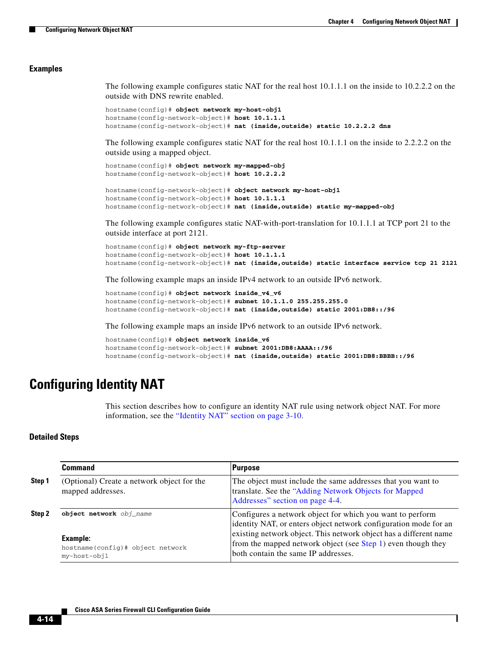I

#### **Examples**

The following example configures static NAT for the real host 10.1.1.1 on the inside to 10.2.2.2 on the outside with DNS rewrite enabled.

```
hostname(config)# object network my-host-obj1
hostname(config-network-object)# host 10.1.1.1
hostname(config-network-object)# nat (inside,outside) static 10.2.2.2 dns
```
The following example configures static NAT for the real host 10.1.1.1 on the inside to 2.2.2.2 on the outside using a mapped object.

```
hostname(config)# object network my-mapped-obj
hostname(config-network-object)# host 10.2.2.2
```

```
hostname(config-network-object)# object network my-host-obj1
hostname(config-network-object)# host 10.1.1.1
hostname(config-network-object)# nat (inside,outside) static my-mapped-obj
```
The following example configures static NAT-with-port-translation for 10.1.1.1 at TCP port 21 to the outside interface at port 2121.

```
hostname(config)# object network my-ftp-server
hostname(config-network-object)# host 10.1.1.1
hostname(config-network-object)# nat (inside,outside) static interface service tcp 21 2121
```
The following example maps an inside IPv4 network to an outside IPv6 network.

```
hostname(config)# object network inside_v4_v6
hostname(config-network-object)# subnet 10.1.1.0 255.255.255.0
hostname(config-network-object)# nat (inside,outside) static 2001:DB8::/96
```
The following example maps an inside IPv6 network to an outside IPv6 network.

```
hostname(config)# object network inside_v6
hostname(config-network-object)# subnet 2001:DB8:AAAA::/96
hostname(config-network-object)# nat (inside,outside) static 2001:DB8:BBBB::/96
```
## <span id="page-13-0"></span>**Configuring Identity NAT**

This section describes how to configure an identity NAT rule using network object NAT. For more information, see the "Identity NAT" section on page 3-10.

#### **Detailed Steps**

<span id="page-13-1"></span>

|        | Command                                                             | <b>Purpose</b>                                                                                                                                                           |
|--------|---------------------------------------------------------------------|--------------------------------------------------------------------------------------------------------------------------------------------------------------------------|
| Step 1 | (Optional) Create a network object for the<br>mapped addresses.     | The object must include the same addresses that you want to<br>translate. See the "Adding Network Objects for Mapped<br>Addresses" section on page 4-4.                  |
| Step 2 | object network obj_name                                             | Configures a network object for which you want to perform<br>identity NAT, or enters object network configuration mode for an                                            |
|        | <b>Example:</b><br>hostname(config)# object network<br>my-host-obj1 | existing network object. This network object has a different name<br>from the mapped network object (see Step 1) even though they<br>both contain the same IP addresses. |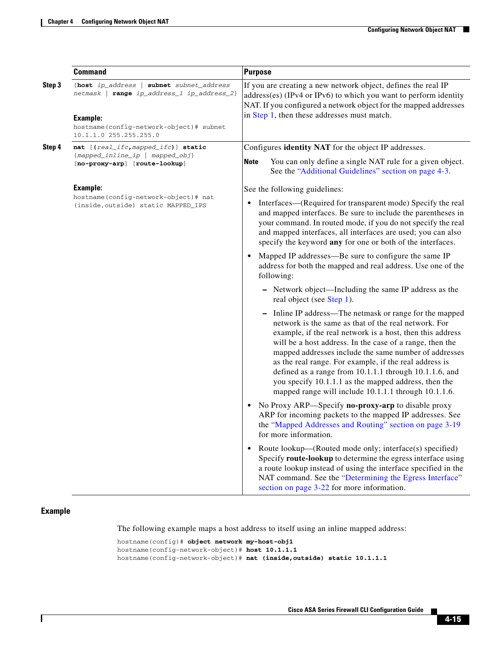|        | <b>Command</b>                                                                                                                                                                 | <b>Purpose</b>                                                                                                                                                                                                                                                                                                                                                                                                                                                                                                                      |
|--------|--------------------------------------------------------------------------------------------------------------------------------------------------------------------------------|-------------------------------------------------------------------------------------------------------------------------------------------------------------------------------------------------------------------------------------------------------------------------------------------------------------------------------------------------------------------------------------------------------------------------------------------------------------------------------------------------------------------------------------|
| Step 3 | {host ip_address   subnet subnet_address<br>netmask   range ip_address_1 ip_address_2}<br><b>Example:</b><br>hostname(config-network-object)# subnet<br>10.1.1.0 255.255.255.0 | If you are creating a new network object, defines the real IP<br>address(es) (IPv4 or IPv6) to which you want to perform identity<br>NAT. If you configured a network object for the mapped addresses<br>in Step 1, then these addresses must match.                                                                                                                                                                                                                                                                                |
| Step 4 | nat [(real_ifc,mapped_ifc)] static                                                                                                                                             | Configures <b>identity NAT</b> for the object IP addresses.                                                                                                                                                                                                                                                                                                                                                                                                                                                                         |
|        | {mapped_inline_ip   mapped_obj}<br>[no-proxy-arp] [route-lookup]                                                                                                               | <b>Note</b><br>You can only define a single NAT rule for a given object.<br>See the "Additional Guidelines" section on page 4-3.                                                                                                                                                                                                                                                                                                                                                                                                    |
|        | Example:                                                                                                                                                                       | See the following guidelines:                                                                                                                                                                                                                                                                                                                                                                                                                                                                                                       |
|        | hostname(config-network-object)# nat<br>(inside, outside) static MAPPED_IPS                                                                                                    | Interfaces—(Required for transparent mode) Specify the real<br>and mapped interfaces. Be sure to include the parentheses in<br>your command. In routed mode, if you do not specify the real<br>and mapped interfaces, all interfaces are used; you can also<br>specify the keyword any for one or both of the interfaces.                                                                                                                                                                                                           |
|        |                                                                                                                                                                                | Mapped IP addresses—Be sure to configure the same IP<br>address for both the mapped and real address. Use one of the<br>following:                                                                                                                                                                                                                                                                                                                                                                                                  |
|        |                                                                                                                                                                                | - Network object—Including the same IP address as the<br>real object (see Step 1).                                                                                                                                                                                                                                                                                                                                                                                                                                                  |
|        |                                                                                                                                                                                | Inline IP address—The netmask or range for the mapped<br>network is the same as that of the real network. For<br>example, if the real network is a host, then this address<br>will be a host address. In the case of a range, then the<br>mapped addresses include the same number of addresses<br>as the real range. For example, if the real address is<br>defined as a range from 10.1.1.1 through 10.1.1.6, and<br>you specify 10.1.1.1 as the mapped address, then the<br>mapped range will include 10.1.1.1 through 10.1.1.6. |
|        |                                                                                                                                                                                | No Proxy ARP—Specify no-proxy-arp to disable proxy<br>ARP for incoming packets to the mapped IP addresses. See<br>the "Mapped Addresses and Routing" section on page 3-19<br>for more information.                                                                                                                                                                                                                                                                                                                                  |
|        |                                                                                                                                                                                | Route lookup—(Routed mode only; interface(s) specified)<br>Specify route-lookup to determine the egress interface using<br>a route lookup instead of using the interface specified in the<br>NAT command. See the "Determining the Egress Interface"<br>section on page 3-22 for more information.                                                                                                                                                                                                                                  |

### **Example**

 $\overline{\phantom{a}}$ 

The following example maps a host address to itself using an inline mapped address:

```
hostname(config)# object network my-host-obj1
hostname(config-network-object)# host 10.1.1.1
hostname(config-network-object)# nat (inside,outside) static 10.1.1.1
```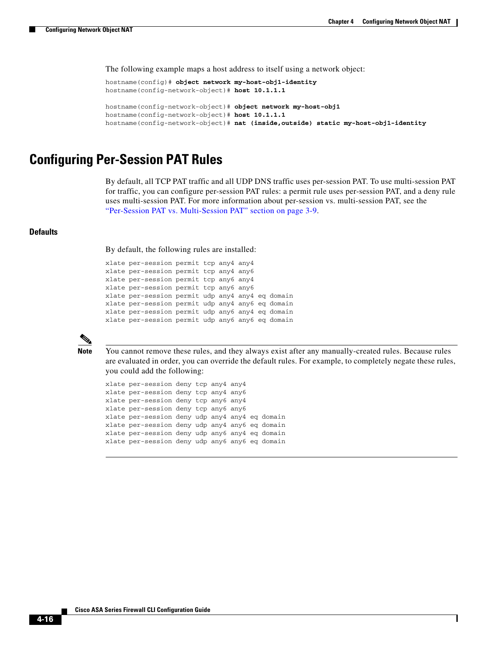I

The following example maps a host address to itself using a network object:

```
hostname(config)# object network my-host-obj1-identity
hostname(config-network-object)# host 10.1.1.1
hostname(config-network-object)# object network my-host-obj1
hostname(config-network-object)# host 10.1.1.1
hostname(config-network-object)# nat (inside,outside) static my-host-obj1-identity
```
### <span id="page-15-0"></span>**Configuring Per-Session PAT Rules**

By default, all TCP PAT traffic and all UDP DNS traffic uses per-session PAT. To use multi-session PAT for traffic, you can configure per-session PAT rules: a permit rule uses per-session PAT, and a deny rule uses multi-session PAT. For more information about per-session vs. multi-session PAT, see the "Per-Session PAT vs. Multi-Session PAT" section on page 3-9.

#### **Defaults**

By default, the following rules are installed:

```
xlate per-session permit tcp any4 any4
xlate per-session permit tcp any4 any6
xlate per-session permit tcp any6 any4
xlate per-session permit tcp any6 any6
xlate per-session permit udp any4 any4 eq domain
xlate per-session permit udp any4 any6 eq domain
xlate per-session permit udp any6 any4 eq domain
xlate per-session permit udp any6 any6 eq domain
```


**Note** You cannot remove these rules, and they always exist after any manually-created rules. Because rules are evaluated in order, you can override the default rules. For example, to completely negate these rules, you could add the following:

xlate per-session deny tcp any4 any4 xlate per-session deny tcp any4 any6 xlate per-session deny tcp any6 any4 xlate per-session deny tcp any6 any6 xlate per-session deny udp any4 any4 eq domain xlate per-session deny udp any4 any6 eq domain xlate per-session deny udp any6 any4 eq domain xlate per-session deny udp any6 any6 eq domain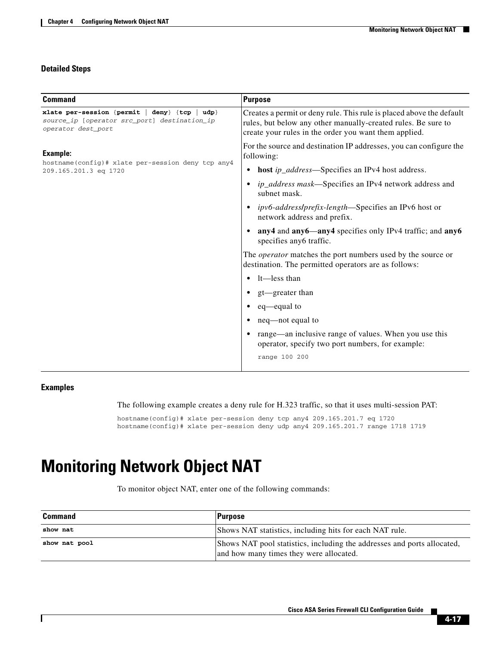### **Detailed Steps**

| <b>Command</b>                                                                                                      | <b>Purpose</b>                                                                                                                                                                                 |  |
|---------------------------------------------------------------------------------------------------------------------|------------------------------------------------------------------------------------------------------------------------------------------------------------------------------------------------|--|
| xlate per-session {permit   deny} {tcp<br>udp<br>source_ip [operator src_port] destination_ip<br>operator dest_port | Creates a permit or deny rule. This rule is placed above the default<br>rules, but below any other manually-created rules. Be sure to<br>create your rules in the order you want them applied. |  |
| Example:<br>hostname(config)# xlate per-session deny tcp any4                                                       | For the source and destination IP addresses, you can configure the<br>following:                                                                                                               |  |
| 209.165.201.3 eq 1720                                                                                               | host <i>ip_address</i> —Specifies an IPv4 host address.<br>$\bullet$                                                                                                                           |  |
|                                                                                                                     | <i>ip_address mask</i> —Specifies an IPv4 network address and<br>subnet mask.                                                                                                                  |  |
|                                                                                                                     | ipv6-address/prefix-length-Specifies an IPv6 host or<br>network address and prefix.                                                                                                            |  |
|                                                                                                                     | any4 and any6—any4 specifies only IPv4 traffic; and any6<br>specifies any6 traffic.                                                                                                            |  |
|                                                                                                                     | The <i>operator</i> matches the port numbers used by the source or<br>destination. The permitted operators are as follows:                                                                     |  |
|                                                                                                                     | lt—less than<br>$\bullet$                                                                                                                                                                      |  |
|                                                                                                                     | gt—greater than                                                                                                                                                                                |  |
|                                                                                                                     | eq—equal to                                                                                                                                                                                    |  |
|                                                                                                                     | neq—not equal to                                                                                                                                                                               |  |
|                                                                                                                     | range—an inclusive range of values. When you use this<br>$\bullet$<br>operator, specify two port numbers, for example:                                                                         |  |
|                                                                                                                     | range 100 200                                                                                                                                                                                  |  |

### **Examples**

 $\overline{\phantom{a}}$ 

The following example creates a deny rule for H.323 traffic, so that it uses multi-session PAT:

hostname(config)# xlate per-session deny tcp any4 209.165.201.7 eq 1720 hostname(config)# xlate per-session deny udp any4 209.165.201.7 range 1718 1719

# <span id="page-16-0"></span>**Monitoring Network Object NAT**

To monitor object NAT, enter one of the following commands:

| <b>Command</b> | <b>Purpose</b>                                                                                                     |
|----------------|--------------------------------------------------------------------------------------------------------------------|
| show nat       | Shows NAT statistics, including hits for each NAT rule.                                                            |
| show nat pool  | Shows NAT pool statistics, including the addresses and ports allocated,<br>and how many times they were allocated. |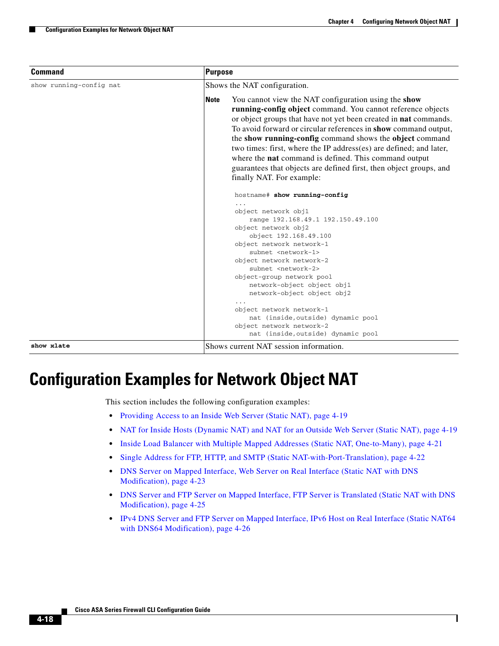Ι

| Command                 | <b>Purpose</b>                                                                                                                                                                                                                                                                                                                                                                                                                                                                                                                                                                 | Shows the NAT configuration. |  |  |
|-------------------------|--------------------------------------------------------------------------------------------------------------------------------------------------------------------------------------------------------------------------------------------------------------------------------------------------------------------------------------------------------------------------------------------------------------------------------------------------------------------------------------------------------------------------------------------------------------------------------|------------------------------|--|--|
| show running-config nat |                                                                                                                                                                                                                                                                                                                                                                                                                                                                                                                                                                                |                              |  |  |
|                         | You cannot view the NAT configuration using the show<br><b>Note</b><br>running-config object command. You cannot reference objects<br>or object groups that have not yet been created in nat commands.<br>To avoid forward or circular references in show command output,<br>the show running-config command shows the object command<br>two times: first, where the IP address(es) are defined; and later,<br>where the <b>nat</b> command is defined. This command output<br>guarantees that objects are defined first, then object groups, and<br>finally NAT. For example: |                              |  |  |
|                         | hostname# show running-config<br>object network obj1<br>range 192.168.49.1 192.150.49.100<br>object network obj2<br>object 192.168.49.100<br>object network network-1<br>subnet <network-1><br/>object network network-2<br/>subnet <network-2><br/>object-group network pool<br/>network-object object obj1<br/>network-object object obj2<br/>object network network-1<br/>nat (inside, outside) dynamic pool<br/>object network network-2<br/>nat (inside, outside) dynamic pool</network-2></network-1>                                                                    |                              |  |  |
| show xlate              | Shows current NAT session information.                                                                                                                                                                                                                                                                                                                                                                                                                                                                                                                                         |                              |  |  |

# <span id="page-17-0"></span>**Configuration Examples for Network Object NAT**

This section includes the following configuration examples:

- **•** [Providing Access to an Inside Web Server \(Static NAT\), page 4-19](#page-18-0)
- [NAT for Inside Hosts \(Dynamic NAT\) and NAT for an Outside Web Server \(Static NAT\), page 4-19](#page-18-1)
- **•** [Inside Load Balancer with Multiple Mapped Addresses \(Static NAT, One-to-Many\), page 4-21](#page-20-0)
- **•** [Single Address for FTP, HTTP, and SMTP \(Static NAT-with-Port-Translation\), page 4-22](#page-21-0)
- **•** [DNS Server on Mapped Interface, Web Server on Real Interface \(Static NAT with DNS](#page-22-0)  [Modification\), page 4-23](#page-22-0)
- **•** [DNS Server and FTP Server on Mapped Interface, FTP Server is Translated \(Static NAT with DNS](#page-24-0)  [Modification\), page 4-25](#page-24-0)
- IPv4 DNS Server and FTP Server on Mapped Interface, IPv6 Host on Real Interface (Static NAT64 [with DNS64 Modification\), page 4-26](#page-25-0)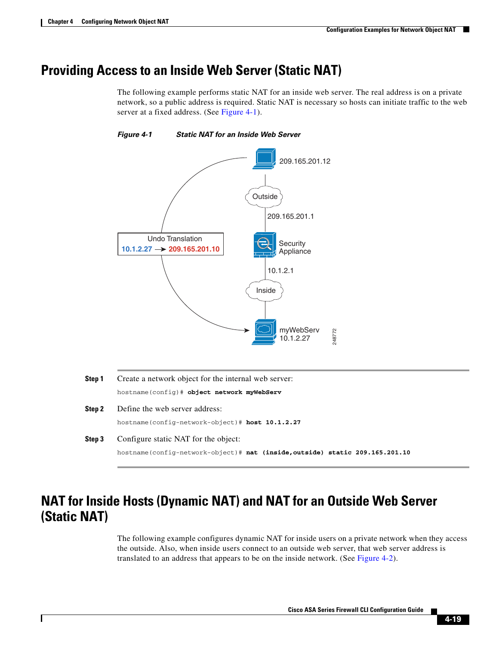## <span id="page-18-0"></span>**Providing Access to an Inside Web Server (Static NAT)**

The following example performs static NAT for an inside web server. The real address is on a private network, so a public address is required. Static NAT is necessary so hosts can initiate traffic to the web server at a fixed address. (See [Figure 4-1\)](#page-18-2).



<span id="page-18-2"></span>*Figure 4-1 Static NAT for an Inside Web Server*

- **Step 1** Create a network object for the internal web server: hostname(config)# **object network myWebServ Step 2** Define the web server address: hostname(config-network-object)# **host 10.1.2.27 Step 3** Configure static NAT for the object:
	- hostname(config-network-object)# **nat (inside,outside) static 209.165.201.10**

## <span id="page-18-1"></span>**NAT for Inside Hosts (Dynamic NAT) and NAT for an Outside Web Server (Static NAT)**

The following example configures dynamic NAT for inside users on a private network when they access the outside. Also, when inside users connect to an outside web server, that web server address is translated to an address that appears to be on the inside network. (See [Figure 4-2\)](#page-19-0).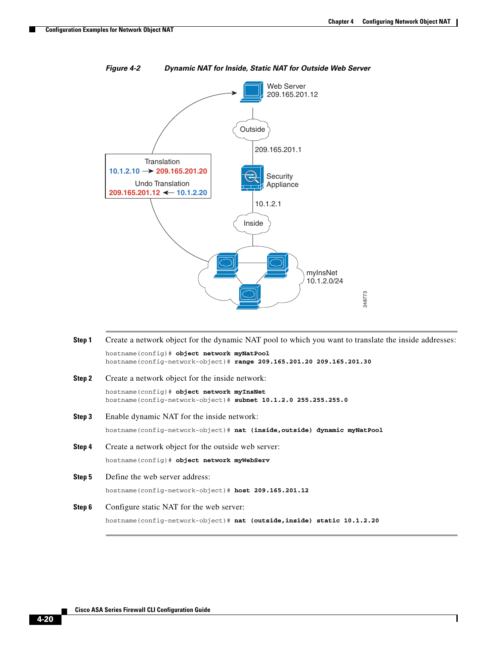I



<span id="page-19-0"></span>*Figure 4-2 Dynamic NAT for Inside, Static NAT for Outside Web Server*

**Step 1** Create a network object for the dynamic NAT pool to which you want to translate the inside addresses: hostname(config)# **object network myNatPool** hostname(config-network-object)# **range 209.165.201.20 209.165.201.30 Step 2** Create a network object for the inside network: hostname(config)# **object network myInsNet** hostname(config-network-object)# **subnet 10.1.2.0 255.255.255.0 Step 3** Enable dynamic NAT for the inside network: hostname(config-network-object)# **nat (inside,outside) dynamic myNatPool Step 4** Create a network object for the outside web server: hostname(config)# **object network myWebServ Step 5** Define the web server address: hostname(config-network-object)# **host 209.165.201.12 Step 6** Configure static NAT for the web server: hostname(config-network-object)# **nat (outside,inside) static 10.1.2.20**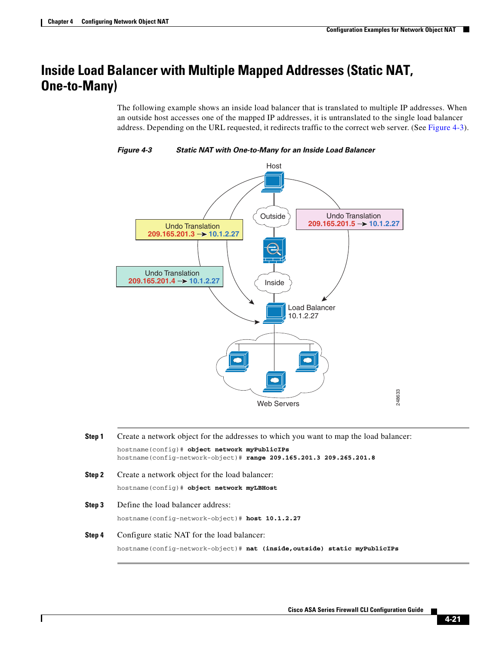$\mathbf I$ 

## <span id="page-20-0"></span>**Inside Load Balancer with Multiple Mapped Addresses (Static NAT, One-to-Many)**

The following example shows an inside load balancer that is translated to multiple IP addresses. When an outside host accesses one of the mapped IP addresses, it is untranslated to the single load balancer address. Depending on the URL requested, it redirects traffic to the correct web server. (See [Figure 4-3\)](#page-20-1).



<span id="page-20-1"></span>

| Step 1 | Create a network object for the addresses to which you want to map the load balancer:                               |  |  |  |
|--------|---------------------------------------------------------------------------------------------------------------------|--|--|--|
|        | hostname (config)# object network myPublicIPs<br>hostname(config-network-object)# range 209.165.201.3 209.265.201.8 |  |  |  |
| Step 2 | Create a network object for the load balancer:                                                                      |  |  |  |
|        | hostname (config)# object network myLBHost                                                                          |  |  |  |
| Step 3 | Define the load balancer address:                                                                                   |  |  |  |
|        | hostname(config-network-object)# host 10.1.2.27                                                                     |  |  |  |
| Step 4 | Configure static NAT for the load balancer:                                                                         |  |  |  |
|        | hostname(config-network-object)# nat (inside, outside) static myPublicIPs                                           |  |  |  |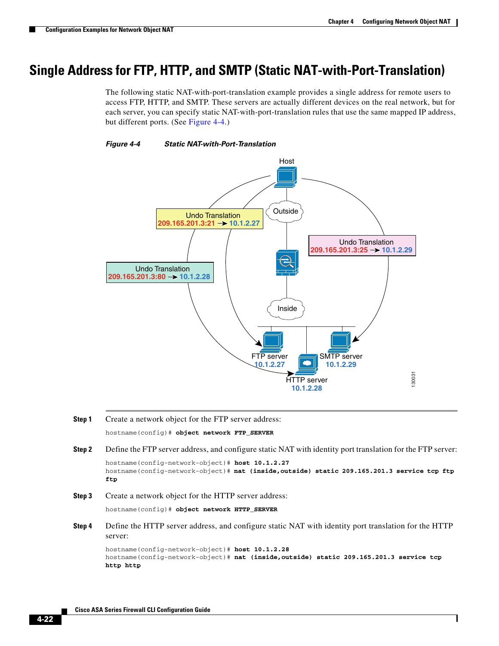$\mathsf{l}$ 

## <span id="page-21-0"></span>**Single Address for FTP, HTTP, and SMTP (Static NAT-with-Port-Translation)**

The following static NAT-with-port-translation example provides a single address for remote users to access FTP, HTTP, and SMTP. These servers are actually different devices on the real network, but for each server, you can specify static NAT-with-port-translation rules that use the same mapped IP address, but different ports. (See [Figure 4-4.](#page-21-1))

<span id="page-21-1"></span>



- **Step 1** Create a network object for the FTP server address: hostname(config)# **object network FTP\_SERVER**
- **Step 2** Define the FTP server address, and configure static NAT with identity port translation for the FTP server: hostname(config-network-object)# **host 10.1.2.27** hostname(config-network-object)# **nat (inside,outside) static 209.165.201.3 service tcp ftp ftp**
- **Step 3** Create a network object for the HTTP server address:

hostname(config)# **object network HTTP\_SERVER**

**Step 4** Define the HTTP server address, and configure static NAT with identity port translation for the HTTP server:

```
hostname(config-network-object)# host 10.1.2.28
hostname(config-network-object)# nat (inside,outside) static 209.165.201.3 service tcp 
http http
```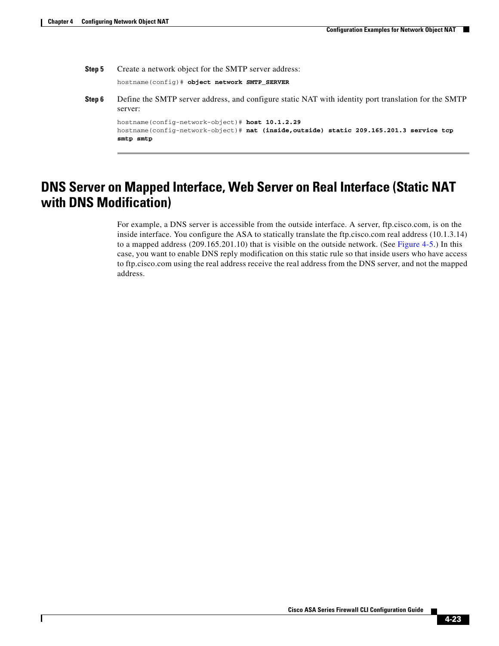$\mathbf I$ 

**Step 5** Create a network object for the SMTP server address:

hostname(config)# **object network SMTP\_SERVER**

**Step 6** Define the SMTP server address, and configure static NAT with identity port translation for the SMTP server:

hostname(config-network-object)# **host 10.1.2.29** hostname(config-network-object)# **nat (inside,outside) static 209.165.201.3 service tcp smtp smtp**

## <span id="page-22-0"></span>**DNS Server on Mapped Interface, Web Server on Real Interface (Static NAT with DNS Modification)**

For example, a DNS server is accessible from the outside interface. A server, ftp.cisco.com, is on the inside interface. You configure the ASA to statically translate the ftp.cisco.com real address (10.1.3.14) to a mapped address (209.165.201.10) that is visible on the outside network. (See [Figure 4-5](#page-23-0).) In this case, you want to enable DNS reply modification on this static rule so that inside users who have access to ftp.cisco.com using the real address receive the real address from the DNS server, and not the mapped address.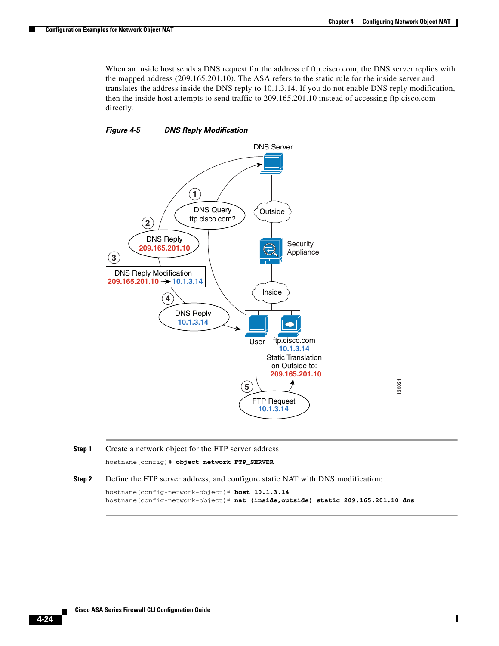Ι

When an inside host sends a DNS request for the address of ftp.cisco.com, the DNS server replies with the mapped address (209.165.201.10). The ASA refers to the static rule for the inside server and translates the address inside the DNS reply to 10.1.3.14. If you do not enable DNS reply modification, then the inside host attempts to send traffic to 209.165.201.10 instead of accessing ftp.cisco.com directly.

### <span id="page-23-0"></span>*Figure 4-5 DNS Reply Modification*



**Step 1** Create a network object for the FTP server address:

hostname(config)# **object network FTP\_SERVER**

**Step 2** Define the FTP server address, and configure static NAT with DNS modification:

```
hostname(config-network-object)# host 10.1.3.14
hostname(config-network-object)# nat (inside,outside) static 209.165.201.10 dns
```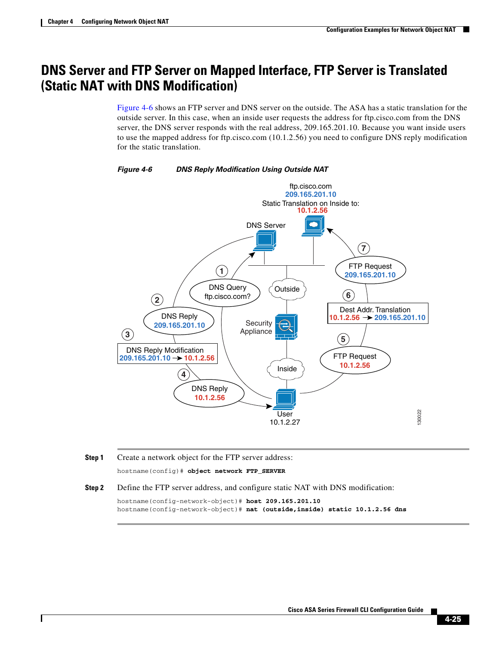## <span id="page-24-0"></span>**DNS Server and FTP Server on Mapped Interface, FTP Server is Translated (Static NAT with DNS Modification)**

[Figure 4-6](#page-24-1) shows an FTP server and DNS server on the outside. The ASA has a static translation for the outside server. In this case, when an inside user requests the address for ftp.cisco.com from the DNS server, the DNS server responds with the real address, 209.165.201.10. Because you want inside users to use the mapped address for ftp.cisco.com (10.1.2.56) you need to configure DNS reply modification for the static translation.



#### <span id="page-24-1"></span>*Figure 4-6 DNS Reply Modification Using Outside NAT*

**Step 1** Create a network object for the FTP server address: hostname(config)# **object network FTP\_SERVER**

I

**Step 2** Define the FTP server address, and configure static NAT with DNS modification:

hostname(config-network-object)# **host 209.165.201.10** hostname(config-network-object)# **nat (outside,inside) static 10.1.2.56 dns**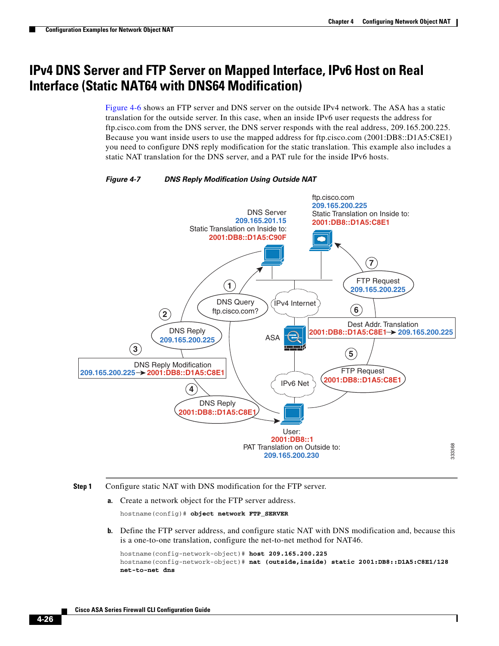## <span id="page-25-0"></span>**IPv4 DNS Server and FTP Server on Mapped Interface, IPv6 Host on Real Interface (Static NAT64 with DNS64 Modification)**

[Figure 4-6](#page-24-1) shows an FTP server and DNS server on the outside IPv4 network. The ASA has a static translation for the outside server. In this case, when an inside IPv6 user requests the address for ftp.cisco.com from the DNS server, the DNS server responds with the real address, 209.165.200.225. Because you want inside users to use the mapped address for ftp.cisco.com (2001:DB8::D1A5:C8E1) you need to configure DNS reply modification for the static translation. This example also includes a static NAT translation for the DNS server, and a PAT rule for the inside IPv6 hosts.



#### *Figure 4-7 DNS Reply Modification Using Outside NAT*

- **Step 1** Configure static NAT with DNS modification for the FTP server.
	- **a.** Create a network object for the FTP server address.

```
hostname(config)# object network FTP_SERVER
```
**b.** Define the FTP server address, and configure static NAT with DNS modification and, because this is a one-to-one translation, configure the net-to-net method for NAT46.

```
hostname(config-network-object)# host 209.165.200.225
hostname(config-network-object)# nat (outside,inside) static 2001:DB8::D1A5:C8E1/128 
net-to-net dns
```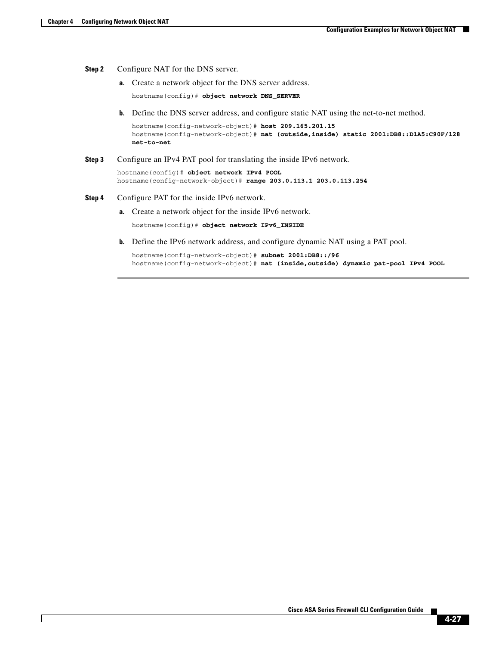I

#### **Step 2** Configure NAT for the DNS server.

**a.** Create a network object for the DNS server address.

hostname(config)# **object network DNS\_SERVER**

**b.** Define the DNS server address, and configure static NAT using the net-to-net method.

hostname(config-network-object)# **host 209.165.201.15** hostname(config-network-object)# **nat (outside,inside) static 2001:DB8::D1A5:C90F/128 net-to-net**

#### **Step 3** Configure an IPv4 PAT pool for translating the inside IPv6 network.

hostname(config)# **object network IPv4\_POOL** hostname(config-network-object)# **range 203.0.113.1 203.0.113.254**

#### **Step 4** Configure PAT for the inside IPv6 network.

**a.** Create a network object for the inside IPv6 network.

hostname(config)# **object network IPv6\_INSIDE**

**b.** Define the IPv6 network address, and configure dynamic NAT using a PAT pool.

hostname(config-network-object)# **subnet 2001:DB8::/96** hostname(config-network-object)# **nat (inside,outside) dynamic pat-pool IPv4\_POOL**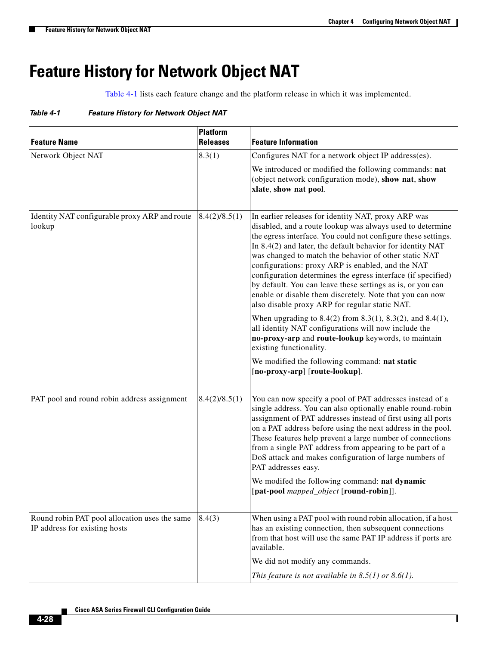$\mathsf I$ 

# <span id="page-27-0"></span>**Feature History for Network Object NAT**

[Table 4-1](#page-27-1) lists each feature change and the platform release in which it was implemented.

<span id="page-27-1"></span>

| Table 4-1 |  | <b>Feature History for Network Object NAT</b> |  |
|-----------|--|-----------------------------------------------|--|
|           |  |                                               |  |

| <b>Feature Name</b>                                                            | <b>Platform</b><br><b>Releases</b> | <b>Feature Information</b>                                                                                                                                                                                                                                                                                                                                                                                                                                                                                                                                                                                                                                                        |
|--------------------------------------------------------------------------------|------------------------------------|-----------------------------------------------------------------------------------------------------------------------------------------------------------------------------------------------------------------------------------------------------------------------------------------------------------------------------------------------------------------------------------------------------------------------------------------------------------------------------------------------------------------------------------------------------------------------------------------------------------------------------------------------------------------------------------|
| Network Object NAT                                                             | 8.3(1)                             | Configures NAT for a network object IP address(es).                                                                                                                                                                                                                                                                                                                                                                                                                                                                                                                                                                                                                               |
|                                                                                |                                    | We introduced or modified the following commands: nat<br>(object network configuration mode), show nat, show<br>xlate, show nat pool.                                                                                                                                                                                                                                                                                                                                                                                                                                                                                                                                             |
| Identity NAT configurable proxy ARP and route<br>lookup                        | 8.4(2)/8.5(1)                      | In earlier releases for identity NAT, proxy ARP was<br>disabled, and a route lookup was always used to determine<br>the egress interface. You could not configure these settings.<br>In 8.4(2) and later, the default behavior for identity NAT<br>was changed to match the behavior of other static NAT<br>configurations: proxy ARP is enabled, and the NAT<br>configuration determines the egress interface (if specified)<br>by default. You can leave these settings as is, or you can<br>enable or disable them discretely. Note that you can now<br>also disable proxy ARP for regular static NAT.<br>When upgrading to $8.4(2)$ from $8.3(1)$ , $8.3(2)$ , and $8.4(1)$ , |
|                                                                                |                                    | all identity NAT configurations will now include the<br>no-proxy-arp and route-lookup keywords, to maintain<br>existing functionality.                                                                                                                                                                                                                                                                                                                                                                                                                                                                                                                                            |
|                                                                                |                                    | We modified the following command: nat static<br>[no-proxy-arp] [route-lookup].                                                                                                                                                                                                                                                                                                                                                                                                                                                                                                                                                                                                   |
| PAT pool and round robin address assignment                                    | 8.4(2)/8.5(1)                      | You can now specify a pool of PAT addresses instead of a<br>single address. You can also optionally enable round-robin<br>assignment of PAT addresses instead of first using all ports<br>on a PAT address before using the next address in the pool.<br>These features help prevent a large number of connections<br>from a single PAT address from appearing to be part of a<br>DoS attack and makes configuration of large numbers of<br>PAT addresses easy.<br>We modifed the following command: nat dynamic                                                                                                                                                                  |
|                                                                                |                                    | [pat-pool mapped_object [round-robin]].                                                                                                                                                                                                                                                                                                                                                                                                                                                                                                                                                                                                                                           |
| Round robin PAT pool allocation uses the same<br>IP address for existing hosts | 8.4(3)                             | When using a PAT pool with round robin allocation, if a host<br>has an existing connection, then subsequent connections<br>from that host will use the same PAT IP address if ports are<br>available.                                                                                                                                                                                                                                                                                                                                                                                                                                                                             |
|                                                                                |                                    | We did not modify any commands.                                                                                                                                                                                                                                                                                                                                                                                                                                                                                                                                                                                                                                                   |
|                                                                                |                                    | This feature is not available in $8.5(1)$ or $8.6(1)$ .                                                                                                                                                                                                                                                                                                                                                                                                                                                                                                                                                                                                                           |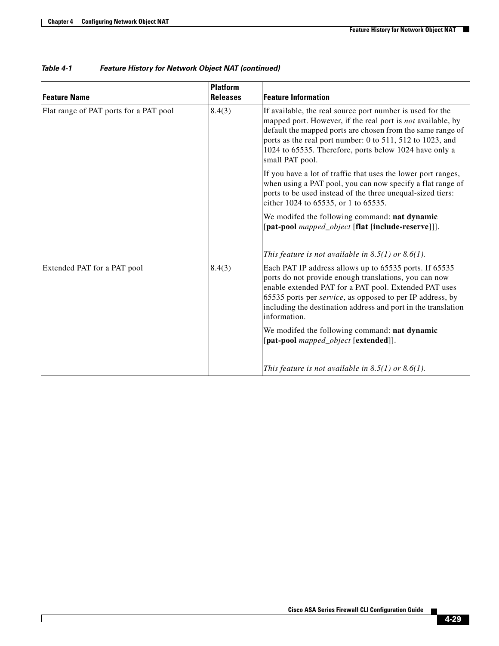$\mathbf{I}$ 

| <b>Feature Name</b>                    | Platform<br><b>Releases</b> | <b>Feature Information</b>                                                                                                                                                                                                                                                                                                       |
|----------------------------------------|-----------------------------|----------------------------------------------------------------------------------------------------------------------------------------------------------------------------------------------------------------------------------------------------------------------------------------------------------------------------------|
| Flat range of PAT ports for a PAT pool | 8.4(3)                      | If available, the real source port number is used for the<br>mapped port. However, if the real port is not available, by<br>default the mapped ports are chosen from the same range of<br>ports as the real port number: 0 to 511, 512 to 1023, and<br>1024 to 65535. Therefore, ports below 1024 have only a<br>small PAT pool. |
|                                        |                             | If you have a lot of traffic that uses the lower port ranges,<br>when using a PAT pool, you can now specify a flat range of<br>ports to be used instead of the three unequal-sized tiers:<br>either 1024 to 65535, or 1 to 65535.                                                                                                |
|                                        |                             | We modifed the following command: nat dynamic<br>[pat-pool mapped_object [flat [include-reserve]]].                                                                                                                                                                                                                              |
|                                        |                             | This feature is not available in $8.5(1)$ or $8.6(1)$ .                                                                                                                                                                                                                                                                          |
| Extended PAT for a PAT pool            | 8.4(3)                      | Each PAT IP address allows up to 65535 ports. If 65535<br>ports do not provide enough translations, you can now<br>enable extended PAT for a PAT pool. Extended PAT uses<br>65535 ports per service, as opposed to per IP address, by<br>including the destination address and port in the translation<br>information.           |
|                                        |                             | We modifed the following command: nat dynamic<br>[pat-pool mapped_object [extended]].                                                                                                                                                                                                                                            |
|                                        |                             | This feature is not available in $8.5(1)$ or $8.6(1)$ .                                                                                                                                                                                                                                                                          |

### *Table 4-1 Feature History for Network Object NAT (continued)*

 $\blacksquare$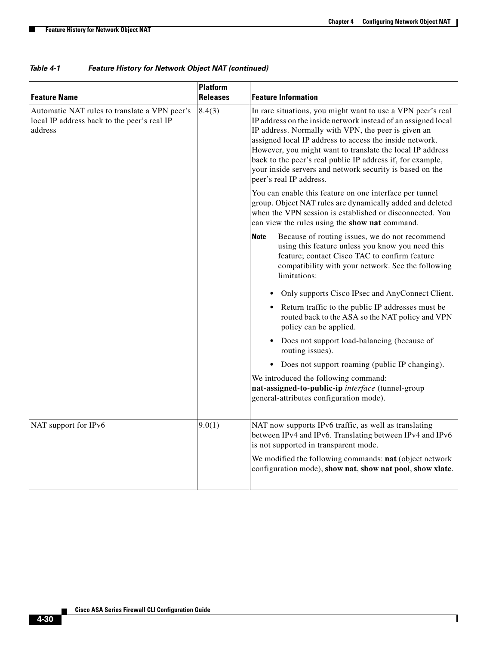$\mathsf I$ 

**The Second** 

| <b>Feature Name</b>                                                                                     | <b>Platform</b><br><b>Releases</b> | <b>Feature Information</b>                                                                                                                                                                                                                                                                                                                                                                                                                                       |  |  |
|---------------------------------------------------------------------------------------------------------|------------------------------------|------------------------------------------------------------------------------------------------------------------------------------------------------------------------------------------------------------------------------------------------------------------------------------------------------------------------------------------------------------------------------------------------------------------------------------------------------------------|--|--|
| Automatic NAT rules to translate a VPN peer's<br>local IP address back to the peer's real IP<br>address | 8.4(3)                             | In rare situations, you might want to use a VPN peer's real<br>IP address on the inside network instead of an assigned local<br>IP address. Normally with VPN, the peer is given an<br>assigned local IP address to access the inside network.<br>However, you might want to translate the local IP address<br>back to the peer's real public IP address if, for example,<br>your inside servers and network security is based on the<br>peer's real IP address. |  |  |
|                                                                                                         |                                    | You can enable this feature on one interface per tunnel<br>group. Object NAT rules are dynamically added and deleted<br>when the VPN session is established or disconnected. You<br>can view the rules using the show nat command.                                                                                                                                                                                                                               |  |  |
|                                                                                                         |                                    | Because of routing issues, we do not recommend<br><b>Note</b><br>using this feature unless you know you need this<br>feature; contact Cisco TAC to confirm feature<br>compatibility with your network. See the following<br>limitations:                                                                                                                                                                                                                         |  |  |
|                                                                                                         |                                    | Only supports Cisco IPsec and AnyConnect Client.                                                                                                                                                                                                                                                                                                                                                                                                                 |  |  |
|                                                                                                         |                                    | • Return traffic to the public IP addresses must be<br>routed back to the ASA so the NAT policy and VPN<br>policy can be applied.                                                                                                                                                                                                                                                                                                                                |  |  |
|                                                                                                         |                                    | Does not support load-balancing (because of<br>routing issues).                                                                                                                                                                                                                                                                                                                                                                                                  |  |  |
|                                                                                                         |                                    | Does not support roaming (public IP changing).                                                                                                                                                                                                                                                                                                                                                                                                                   |  |  |
|                                                                                                         |                                    | We introduced the following command:<br>nat-assigned-to-public-ip interface (tunnel-group<br>general-attributes configuration mode).                                                                                                                                                                                                                                                                                                                             |  |  |
| NAT support for IPv6                                                                                    | 9.0(1)                             | NAT now supports IPv6 traffic, as well as translating<br>between IPv4 and IPv6. Translating between IPv4 and IPv6<br>is not supported in transparent mode.                                                                                                                                                                                                                                                                                                       |  |  |
|                                                                                                         |                                    | We modified the following commands: nat (object network<br>configuration mode), show nat, show nat pool, show xlate.                                                                                                                                                                                                                                                                                                                                             |  |  |

### *Table 4-1 Feature History for Network Object NAT (continued)*

×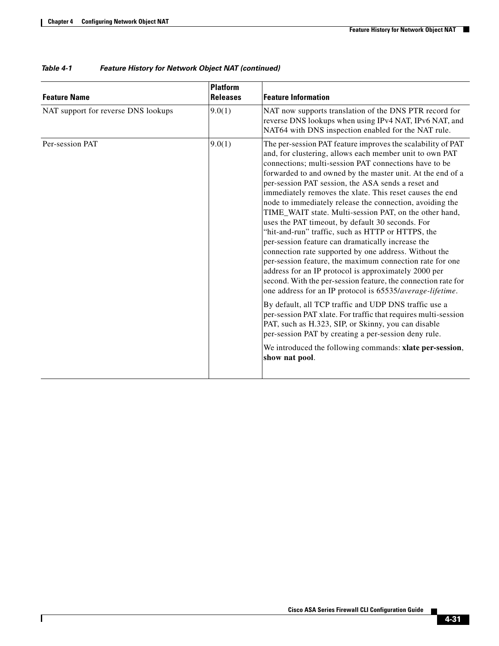$\mathbf{I}$ 

| <b>Feature Name</b>                 | <b>Platform</b><br><b>Releases</b> | <b>Feature Information</b>                                                                                                                                                                                                                                                                                                                                                                                                                                                                                                                                                                                                                                                                                                                                                                                                                                                                                                                                                                                                                                                                                                                                                                                                                                                             |
|-------------------------------------|------------------------------------|----------------------------------------------------------------------------------------------------------------------------------------------------------------------------------------------------------------------------------------------------------------------------------------------------------------------------------------------------------------------------------------------------------------------------------------------------------------------------------------------------------------------------------------------------------------------------------------------------------------------------------------------------------------------------------------------------------------------------------------------------------------------------------------------------------------------------------------------------------------------------------------------------------------------------------------------------------------------------------------------------------------------------------------------------------------------------------------------------------------------------------------------------------------------------------------------------------------------------------------------------------------------------------------|
| NAT support for reverse DNS lookups | 9.0(1)                             | NAT now supports translation of the DNS PTR record for<br>reverse DNS lookups when using IPv4 NAT, IPv6 NAT, and<br>NAT64 with DNS inspection enabled for the NAT rule.                                                                                                                                                                                                                                                                                                                                                                                                                                                                                                                                                                                                                                                                                                                                                                                                                                                                                                                                                                                                                                                                                                                |
| Per-session PAT                     | 9.0(1)                             | The per-session PAT feature improves the scalability of PAT<br>and, for clustering, allows each member unit to own PAT<br>connections; multi-session PAT connections have to be<br>forwarded to and owned by the master unit. At the end of a<br>per-session PAT session, the ASA sends a reset and<br>immediately removes the xlate. This reset causes the end<br>node to immediately release the connection, avoiding the<br>TIME_WAIT state. Multi-session PAT, on the other hand,<br>uses the PAT timeout, by default 30 seconds. For<br>"hit-and-run" traffic, such as HTTP or HTTPS, the<br>per-session feature can dramatically increase the<br>connection rate supported by one address. Without the<br>per-session feature, the maximum connection rate for one<br>address for an IP protocol is approximately 2000 per<br>second. With the per-session feature, the connection rate for<br>one address for an IP protocol is 65535/average-lifetime.<br>By default, all TCP traffic and UDP DNS traffic use a<br>per-session PAT xlate. For traffic that requires multi-session<br>PAT, such as H.323, SIP, or Skinny, you can disable<br>per-session PAT by creating a per-session deny rule.<br>We introduced the following commands: xlate per-session,<br>show nat pool. |

### *Table 4-1 Feature History for Network Object NAT (continued)*

 $\blacksquare$